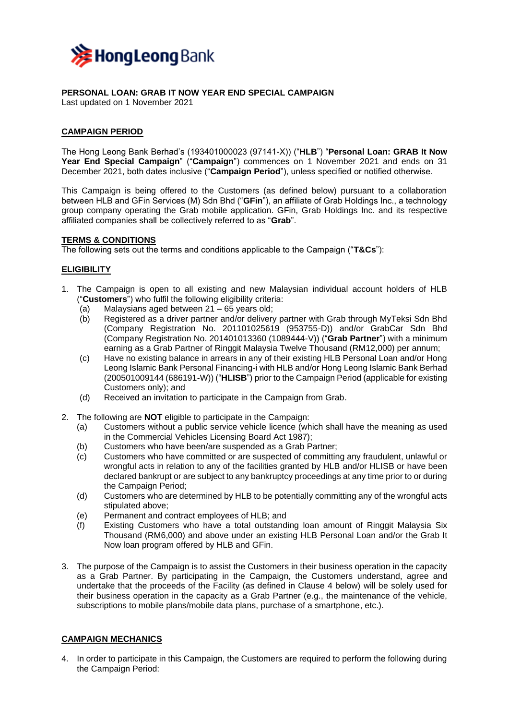

**PERSONAL LOAN: GRAB IT NOW YEAR END SPECIAL CAMPAIGN** Last updated on 1 November 2021

## **CAMPAIGN PERIOD**

The Hong Leong Bank Berhad's (193401000023 (97141-X)) ("**HLB**") "**Personal Loan: GRAB It Now Year End Special Campaign**" ("**Campaign**") commences on 1 November 2021 and ends on 31 December 2021, both dates inclusive ("**Campaign Period**"), unless specified or notified otherwise.

This Campaign is being offered to the Customers (as defined below) pursuant to a collaboration between HLB and GFin Services (M) Sdn Bhd ("**GFin**"), an affiliate of Grab Holdings Inc., a technology group company operating the Grab mobile application. GFin, Grab Holdings Inc. and its respective affiliated companies shall be collectively referred to as "**Grab**".

#### **TERMS & CONDITIONS**

The following sets out the terms and conditions applicable to the Campaign ("**T&Cs**"):

#### **ELIGIBILITY**

- 1. The Campaign is open to all existing and new Malaysian individual account holders of HLB ("**Customers**") who fulfil the following eligibility criteria:
	- (a) Malaysians aged between 21 65 years old;
	- (b) Registered as a driver partner and/or delivery partner with Grab through MyTeksi Sdn Bhd (Company Registration No. 201101025619 (953755-D)) and/or GrabCar Sdn Bhd (Company Registration No. 201401013360 (1089444-V)) ("**Grab Partner**") with a minimum earning as a Grab Partner of Ringgit Malaysia Twelve Thousand (RM12,000) per annum;
	- (c) Have no existing balance in arrears in any of their existing HLB Personal Loan and/or Hong Leong Islamic Bank Personal Financing-i with HLB and/or Hong Leong Islamic Bank Berhad (200501009144 (686191-W)) ("**HLISB**") prior to the Campaign Period (applicable for existing Customers only); and
	- (d) Received an invitation to participate in the Campaign from Grab.
- 2. The following are **NOT** eligible to participate in the Campaign:
	- (a) Customers without a public service vehicle licence (which shall have the meaning as used in the Commercial Vehicles Licensing Board Act 1987);
	- (b) Customers who have been/are suspended as a Grab Partner;
	- (c) Customers who have committed or are suspected of committing any fraudulent, unlawful or wrongful acts in relation to any of the facilities granted by HLB and/or HLISB or have been declared bankrupt or are subject to any bankruptcy proceedings at any time prior to or during the Campaign Period;
	- (d) Customers who are determined by HLB to be potentially committing any of the wrongful acts stipulated above;
	- (e) Permanent and contract employees of HLB; and
	- (f) Existing Customers who have a total outstanding loan amount of Ringgit Malaysia Six Thousand (RM6,000) and above under an existing HLB Personal Loan and/or the Grab It Now loan program offered by HLB and GFin.
- 3. The purpose of the Campaign is to assist the Customers in their business operation in the capacity as a Grab Partner. By participating in the Campaign, the Customers understand, agree and undertake that the proceeds of the Facility (as defined in Clause 4 below) will be solely used for their business operation in the capacity as a Grab Partner (e.g., the maintenance of the vehicle, subscriptions to mobile plans/mobile data plans, purchase of a smartphone, etc.).

#### **CAMPAIGN MECHANICS**

4. In order to participate in this Campaign, the Customers are required to perform the following during the Campaign Period: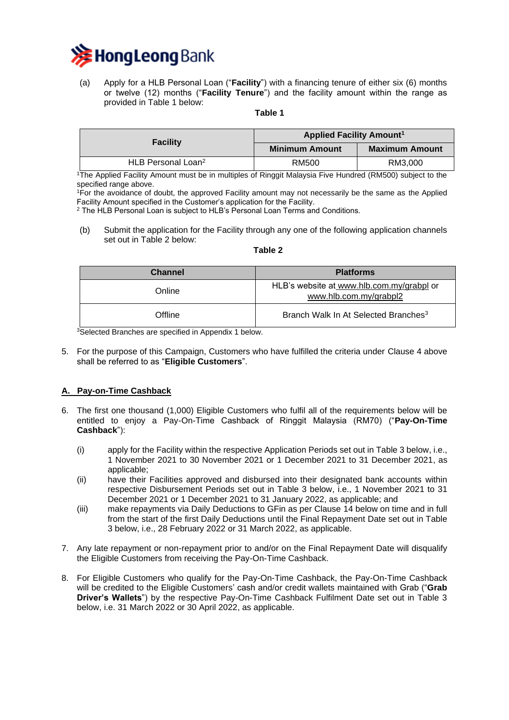

(a) Apply for a HLB Personal Loan ("**Facility**") with a financing tenure of either six (6) months or twelve (12) months ("**Facility Tenure**") and the facility amount within the range as provided in Table 1 below:

**Table 1**

| <b>Facility</b>                | <b>Applied Facility Amount<sup>1</sup></b> |                       |  |
|--------------------------------|--------------------------------------------|-----------------------|--|
|                                | <b>Minimum Amount</b>                      | <b>Maximum Amount</b> |  |
| HLB Personal Loan <sup>2</sup> | RM500                                      | RM3.000               |  |

<sup>1</sup>The Applied Facility Amount must be in multiples of Ringgit Malaysia Five Hundred (RM500) subject to the specified range above.

<sup>1</sup>For the avoidance of doubt, the approved Facility amount may not necessarily be the same as the Applied Facility Amount specified in the Customer's application for the Facility.

<sup>2</sup> The HLB Personal Loan is subject to HLB's Personal Loan Terms and Conditions.

(b) Submit the application for the Facility through any one of the following application channels set out in Table 2 below:

### **Table 2**

| <b>Channel</b><br><b>Platforms</b> |                                                                     |
|------------------------------------|---------------------------------------------------------------------|
| Online                             | HLB's website at www.hlb.com.my/grabpl or<br>www.hlb.com.my/grabpl2 |
| Offline                            | Branch Walk In At Selected Branches <sup>3</sup>                    |

<sup>3</sup>Selected Branches are specified in Appendix 1 below.

5. For the purpose of this Campaign, Customers who have fulfilled the criteria under Clause 4 above shall be referred to as "**Eligible Customers**".

## **A. Pay-on-Time Cashback**

- 6. The first one thousand (1,000) Eligible Customers who fulfil all of the requirements below will be entitled to enjoy a Pay-On-Time Cashback of Ringgit Malaysia (RM70) ("**Pay-On-Time Cashback**"):
	- (i) apply for the Facility within the respective Application Periods set out in Table 3 below, i.e., 1 November 2021 to 30 November 2021 or 1 December 2021 to 31 December 2021, as applicable;
	- (ii) have their Facilities approved and disbursed into their designated bank accounts within respective Disbursement Periods set out in Table 3 below, i.e., 1 November 2021 to 31 December 2021 or 1 December 2021 to 31 January 2022, as applicable; and
	- (iii) make repayments via Daily Deductions to GFin as per Clause 14 below on time and in full from the start of the first Daily Deductions until the Final Repayment Date set out in Table 3 below, i.e., 28 February 2022 or 31 March 2022, as applicable.
- 7. Any late repayment or non-repayment prior to and/or on the Final Repayment Date will disqualify the Eligible Customers from receiving the Pay-On-Time Cashback.
- 8. For Eligible Customers who qualify for the Pay-On-Time Cashback, the Pay-On-Time Cashback will be credited to the Eligible Customers' cash and/or credit wallets maintained with Grab ("**Grab Driver's Wallets**") by the respective Pay-On-Time Cashback Fulfilment Date set out in Table 3 below, i.e. 31 March 2022 or 30 April 2022, as applicable.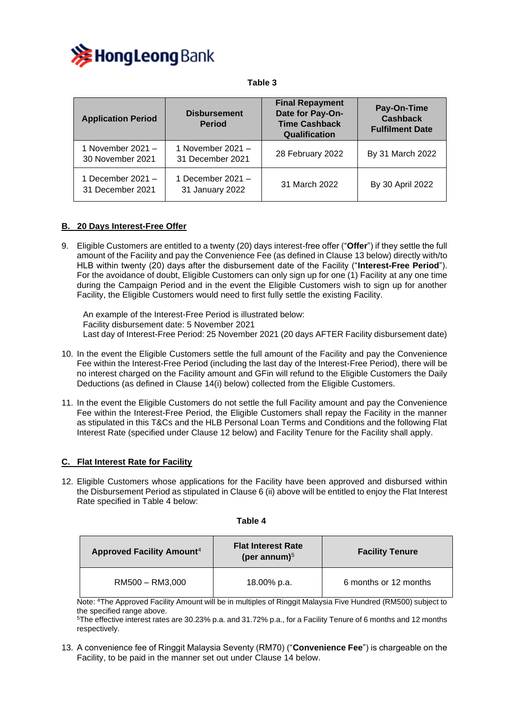

#### **Application Period Disbursement Period Final Repayment Date for Pay-On-Time Cashback Qualification Pay-On-Time Cashback Fulfilment Date** 1 November 2021 – 30 November 2021 1 November 2021 –  $\frac{1}{31}$  December 2021  $-$  28 February 2022  $\left\{\right.$  By 31 March 2022 1 December 2021 – 31 December 2021 1 December 2021 – 31 January 2022 31 March 2022 By 30 April 2022

## **B. 20 Days Interest-Free Offer**

9. Eligible Customers are entitled to a twenty (20) days interest-free offer ("**Offer**") if they settle the full amount of the Facility and pay the Convenience Fee (as defined in Clause 13 below) directly with/to HLB within twenty (20) days after the disbursement date of the Facility ("**Interest-Free Period**"). For the avoidance of doubt, Eligible Customers can only sign up for one (1) Facility at any one time during the Campaign Period and in the event the Eligible Customers wish to sign up for another Facility, the Eligible Customers would need to first fully settle the existing Facility.

An example of the Interest-Free Period is illustrated below: Facility disbursement date: 5 November 2021 Last day of Interest-Free Period: 25 November 2021 (20 days AFTER Facility disbursement date)

- 10. In the event the Eligible Customers settle the full amount of the Facility and pay the Convenience Fee within the Interest-Free Period (including the last day of the Interest-Free Period), there will be no interest charged on the Facility amount and GFin will refund to the Eligible Customers the Daily Deductions (as defined in Clause 14(i) below) collected from the Eligible Customers.
- 11. In the event the Eligible Customers do not settle the full Facility amount and pay the Convenience Fee within the Interest-Free Period, the Eligible Customers shall repay the Facility in the manner as stipulated in this T&Cs and the HLB Personal Loan Terms and Conditions and the following Flat Interest Rate (specified under Clause 12 below) and Facility Tenure for the Facility shall apply.

## **C. Flat Interest Rate for Facility**

12. Eligible Customers whose applications for the Facility have been approved and disbursed within the Disbursement Period as stipulated in Clause 6 (ii) above will be entitled to enjoy the Flat Interest Rate specified in Table 4 below:

| <b>Approved Facility Amount4</b> | <b>Flat Interest Rate</b><br>(per annum) $5$ | <b>Facility Tenure</b> |  |
|----------------------------------|----------------------------------------------|------------------------|--|
| RM500 - RM3,000                  | 18.00% p.a.                                  | 6 months or 12 months  |  |

**Table 4**

Note: <sup>4</sup>The Approved Facility Amount will be in multiples of Ringgit Malaysia Five Hundred (RM500) subject to the specified range above.

<sup>5</sup>The effective interest rates are 30.23% p.a. and 31.72% p.a., for a Facility Tenure of 6 months and 12 months respectively.

13. A convenience fee of Ringgit Malaysia Seventy (RM70) ("**Convenience Fee**") is chargeable on the Facility, to be paid in the manner set out under Clause 14 below.

# **Table 3**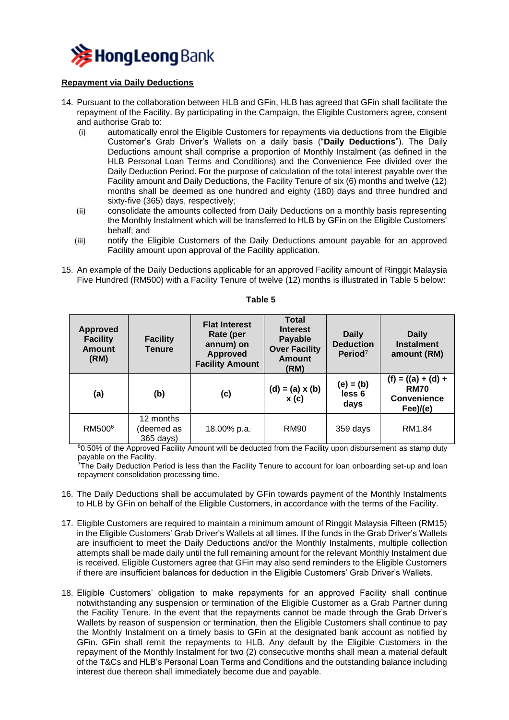

## **Repayment via Daily Deductions**

- 14. Pursuant to the collaboration between HLB and GFin, HLB has agreed that GFin shall facilitate the repayment of the Facility. By participating in the Campaign, the Eligible Customers agree, consent and authorise Grab to:
	- (i) automatically enrol the Eligible Customers for repayments via deductions from the Eligible Customer's Grab Driver's Wallets on a daily basis ("**Daily Deductions**"). The Daily Deductions amount shall comprise a proportion of Monthly Instalment (as defined in the HLB Personal Loan Terms and Conditions) and the Convenience Fee divided over the Daily Deduction Period. For the purpose of calculation of the total interest payable over the Facility amount and Daily Deductions, the Facility Tenure of six (6) months and twelve (12) months shall be deemed as one hundred and eighty (180) days and three hundred and sixty-five (365) days, respectively;
	- (ii) consolidate the amounts collected from Daily Deductions on a monthly basis representing the Monthly Instalment which will be transferred to HLB by GFin on the Eligible Customers' behalf; and
	- (iii) notify the Eligible Customers of the Daily Deductions amount payable for an approved Facility amount upon approval of the Facility application.
- 15. An example of the Daily Deductions applicable for an approved Facility amount of Ringgit Malaysia Five Hundred (RM500) with a Facility Tenure of twelve (12) months is illustrated in Table 5 below:

| <b>Approved</b><br><b>Facility</b><br><b>Amount</b><br>(RM) | <b>Facility</b><br><b>Tenure</b>     | <b>Flat Interest</b><br>Rate (per<br>annum) on<br><b>Approved</b><br><b>Facility Amount</b> | <b>Total</b><br><b>Interest</b><br>Payable<br><b>Over Facility</b><br><b>Amount</b><br>(RM) | <b>Daily</b><br><b>Deduction</b><br>Period <sup>7</sup> | <b>Daily</b><br><b>Instalment</b><br>amount (RM)                         |
|-------------------------------------------------------------|--------------------------------------|---------------------------------------------------------------------------------------------|---------------------------------------------------------------------------------------------|---------------------------------------------------------|--------------------------------------------------------------------------|
| (a)                                                         | (b)                                  | (c)                                                                                         | $(d) = (a) \times (b)$<br>x(c)                                                              | $(e) = (b)$<br>less 6<br>days                           | $(f) = ((a) + (d) +$<br><b>RM70</b><br><b>Convenience</b><br>$Fee$ )/(e) |
| RM500 <sup>6</sup>                                          | 12 months<br>(deemed as<br>365 days) | 18.00% p.a.                                                                                 | RM90                                                                                        | 359 days                                                | RM1.84                                                                   |

**Table 5**

<sup>6</sup>0.50% of the Approved Facility Amount will be deducted from the Facility upon disbursement as stamp duty payable on the Facility.

<sup>7</sup>The Daily Deduction Period is less than the Facility Tenure to account for loan onboarding set-up and loan repayment consolidation processing time.

- 16. The Daily Deductions shall be accumulated by GFin towards payment of the Monthly Instalments to HLB by GFin on behalf of the Eligible Customers, in accordance with the terms of the Facility.
- 17. Eligible Customers are required to maintain a minimum amount of Ringgit Malaysia Fifteen (RM15) in the Eligible Customers' Grab Driver's Wallets at all times. If the funds in the Grab Driver's Wallets are insufficient to meet the Daily Deductions and/or the Monthly Instalments, multiple collection attempts shall be made daily until the full remaining amount for the relevant Monthly Instalment due is received. Eligible Customers agree that GFin may also send reminders to the Eligible Customers if there are insufficient balances for deduction in the Eligible Customers' Grab Driver's Wallets.
- 18. Eligible Customers' obligation to make repayments for an approved Facility shall continue notwithstanding any suspension or termination of the Eligible Customer as a Grab Partner during the Facility Tenure. In the event that the repayments cannot be made through the Grab Driver's Wallets by reason of suspension or termination, then the Eligible Customers shall continue to pay the Monthly Instalment on a timely basis to GFin at the designated bank account as notified by GFin. GFin shall remit the repayments to HLB. Any default by the Eligible Customers in the repayment of the Monthly Instalment for two (2) consecutive months shall mean a material default of the T&Cs and HLB's Personal Loan Terms and Conditions and the outstanding balance including interest due thereon shall immediately become due and payable.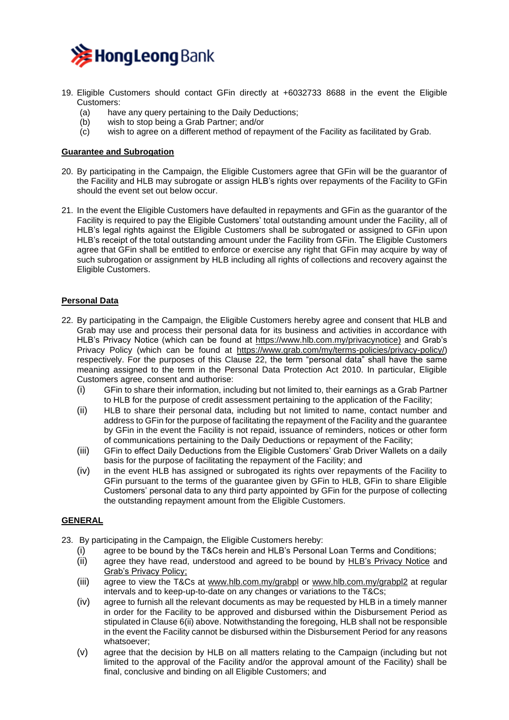

- 19. Eligible Customers should contact GFin directly at +6032733 8688 in the event the Eligible Customers:
	- (a) have any query pertaining to the Daily Deductions;
	- (b) wish to stop being a Grab Partner; and/or
	- (c) wish to agree on a different method of repayment of the Facility as facilitated by Grab.

### **Guarantee and Subrogation**

- 20. By participating in the Campaign, the Eligible Customers agree that GFin will be the guarantor of the Facility and HLB may subrogate or assign HLB's rights over repayments of the Facility to GFin should the event set out below occur.
- 21. In the event the Eligible Customers have defaulted in repayments and GFin as the guarantor of the Facility is required to pay the Eligible Customers' total outstanding amount under the Facility, all of HLB's legal rights against the Eligible Customers shall be subrogated or assigned to GFin upon HLB's receipt of the total outstanding amount under the Facility from GFin. The Eligible Customers agree that GFin shall be entitled to enforce or exercise any right that GFin may acquire by way of such subrogation or assignment by HLB including all rights of collections and recovery against the Eligible Customers.

## **Personal Data**

- 22. By participating in the Campaign, the Eligible Customers hereby agree and consent that HLB and Grab may use and process their personal data for its business and activities in accordance with HLB's Privacy Notice (which can be found at [https://www.hlb.com.my/privacynotice\)](https://www.hlb.com.my/privacynotice) and Grab's Privacy Policy (which can be found at [https://www.grab.com/my/terms-policies/privacy-policy/\)](https://www.grab.com/my/terms-policies/privacy-policy/) respectively. For the purposes of this Clause 22, the term "personal data" shall have the same meaning assigned to the term in the Personal Data Protection Act 2010. In particular, Eligible Customers agree, consent and authorise:
	- (i) GFin to share their information, including but not limited to, their earnings as a Grab Partner to HLB for the purpose of credit assessment pertaining to the application of the Facility;
	- (ii) HLB to share their personal data, including but not limited to name, contact number and address to GFin for the purpose of facilitating the repayment of the Facility and the guarantee by GFin in the event the Facility is not repaid, issuance of reminders, notices or other form of communications pertaining to the Daily Deductions or repayment of the Facility;
	- (iii) GFin to effect Daily Deductions from the Eligible Customers' Grab Driver Wallets on a daily basis for the purpose of facilitating the repayment of the Facility; and
	- (iv) in the event HLB has assigned or subrogated its rights over repayments of the Facility to GFin pursuant to the terms of the guarantee given by GFin to HLB, GFin to share Eligible Customers' personal data to any third party appointed by GFin for the purpose of collecting the outstanding repayment amount from the Eligible Customers.

#### **GENERAL**

- 23. By participating in the Campaign, the Eligible Customers hereby:
	- (i) agree to be bound by the T&Cs herein and HLB's Personal Loan Terms and Conditions;
	- (ii) agree they have read, understood and agreed to be bound by HL[B's Privacy Notice](https://www.hlb.com.my/privacynotice) and [Grab's Privacy Policy;](https://www.grab.com/my/terms-policies/privacy-policy/)
	- (iii) agree to view the T&Cs at [www.hlb.com.my/grabpl](http://www.hlb.com.my/grabpl) or [www.hlb.com.my/grabpl2](http://www.hlb.com.my/grabpl2) at regular intervals and to keep-up-to-date on any changes or variations to the T&Cs;
	- (iv) agree to furnish all the relevant documents as may be requested by HLB in a timely manner in order for the Facility to be approved and disbursed within the Disbursement Period as stipulated in Clause 6(ii) above. Notwithstanding the foregoing, HLB shall not be responsible in the event the Facility cannot be disbursed within the Disbursement Period for any reasons whatsoever;
	- (v) agree that the decision by HLB on all matters relating to the Campaign (including but not limited to the approval of the Facility and/or the approval amount of the Facility) shall be final, conclusive and binding on all Eligible Customers; and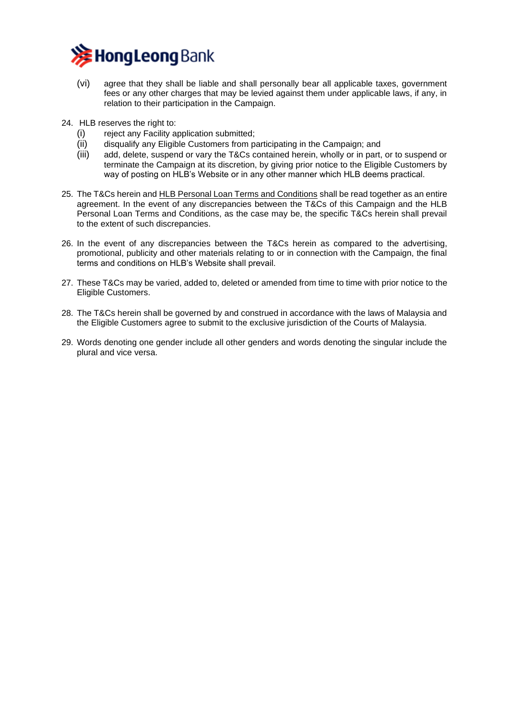

- (vi) agree that they shall be liable and shall personally bear all applicable taxes, government fees or any other charges that may be levied against them under applicable laws, if any, in relation to their participation in the Campaign.
- 24. HLB reserves the right to:
	- (i) reject any Facility application submitted;
	- (ii) disqualify any Eligible Customers from participating in the Campaign; and
	- (iii) add, delete, suspend or vary the T&Cs contained herein, wholly or in part, or to suspend or terminate the Campaign at its discretion, by giving prior notice to the Eligible Customers by way of posting on HLB's Website or in any other manner which HLB deems practical.
- 25. The T&Cs herein and [HLB Personal Loan Terms and Conditions](https://www.hlb.com.my/content/dam/hlb/my/docs/pdf/Personal/Loan/Personal-Loan/hlb-personal-loan-tnc-en-bm.pdf) shall be read together as an entire agreement. In the event of any discrepancies between the T&Cs of this Campaign and the HLB Personal Loan Terms and Conditions, as the case may be, the specific T&Cs herein shall prevail to the extent of such discrepancies.
- 26. In the event of any discrepancies between the T&Cs herein as compared to the advertising, promotional, publicity and other materials relating to or in connection with the Campaign, the final terms and conditions on HLB's Website shall prevail.
- 27. These T&Cs may be varied, added to, deleted or amended from time to time with prior notice to the Eligible Customers.
- 28. The T&Cs herein shall be governed by and construed in accordance with the laws of Malaysia and the Eligible Customers agree to submit to the exclusive jurisdiction of the Courts of Malaysia.
- 29. Words denoting one gender include all other genders and words denoting the singular include the plural and vice versa.